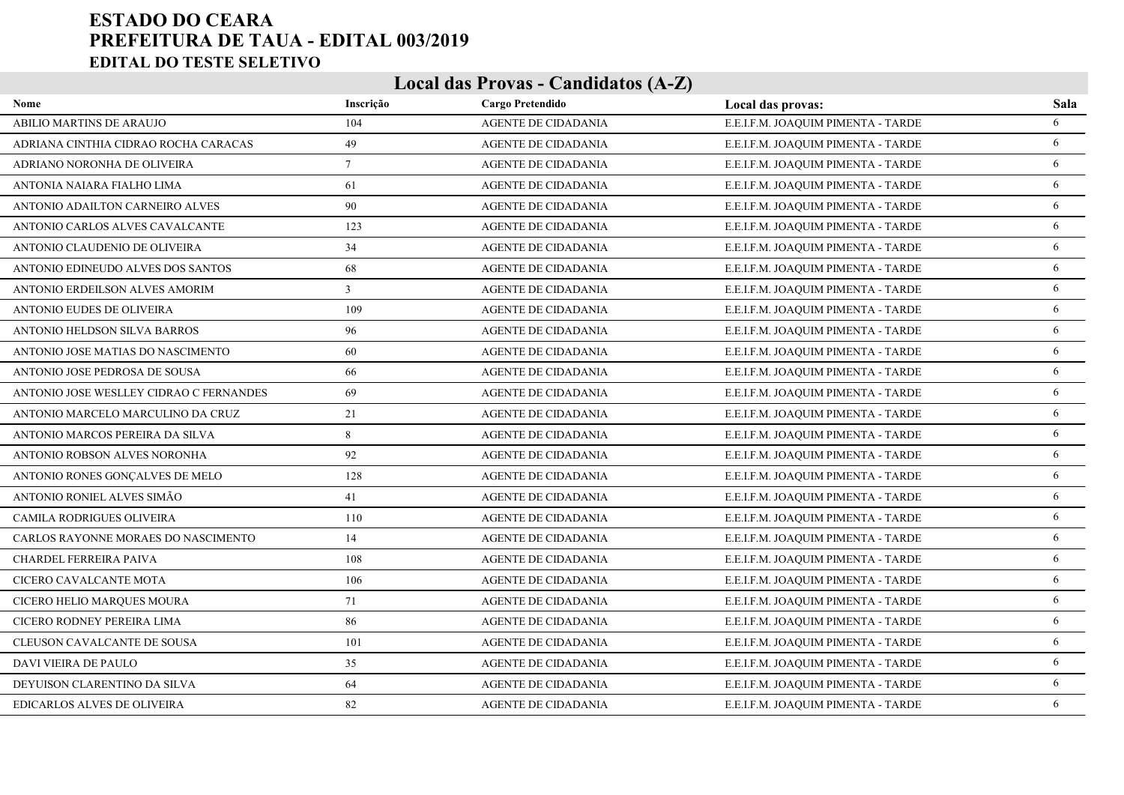| Nome                                    | Inscrição | Cargo Pretendido           | Local das provas:                  | Sala |
|-----------------------------------------|-----------|----------------------------|------------------------------------|------|
| ABILIO MARTINS DE ARAUJO                | 104       | AGENTE DE CIDADANIA        | E.E.I.F.M. JOAQUIM PIMENTA - TARDE | 6    |
| ADRIANA CINTHIA CIDRAO ROCHA CARACAS    | 49        | <b>AGENTE DE CIDADANIA</b> | E.E.I.F.M. JOAQUIM PIMENTA - TARDE | 6    |
| ADRIANO NORONHA DE OLIVEIRA             | $\tau$    | AGENTE DE CIDADANIA        | E.E.I.F.M. JOAQUIM PIMENTA - TARDE | 6    |
| ANTONIA NAIARA FIALHO LIMA              | 61        | AGENTE DE CIDADANIA        | E.E.I.F.M. JOAQUIM PIMENTA - TARDE | 6    |
| ANTONIO ADAILTON CARNEIRO ALVES         | 90        | <b>AGENTE DE CIDADANIA</b> | E.E.I.F.M. JOAQUIM PIMENTA - TARDE | 6    |
| ANTONIO CARLOS ALVES CAVALCANTE         | 123       | <b>AGENTE DE CIDADANIA</b> | E.E.I.F.M. JOAQUIM PIMENTA - TARDE | 6    |
| ANTONIO CLAUDENIO DE OLIVEIRA           | 34        | <b>AGENTE DE CIDADANIA</b> | E.E.I.F.M. JOAQUIM PIMENTA - TARDE | 6    |
| ANTONIO EDINEUDO ALVES DOS SANTOS       | 68        | <b>AGENTE DE CIDADANIA</b> | E.E.I.F.M. JOAQUIM PIMENTA - TARDE | 6    |
| ANTONIO ERDEILSON ALVES AMORIM          | 3         | <b>AGENTE DE CIDADANIA</b> | E.E.I.F.M. JOAQUIM PIMENTA - TARDE | 6    |
| ANTONIO EUDES DE OLIVEIRA               | 109       | <b>AGENTE DE CIDADANIA</b> | E.E.I.F.M. JOAQUIM PIMENTA - TARDE | 6    |
| ANTONIO HELDSON SILVA BARROS            | 96        | <b>AGENTE DE CIDADANIA</b> | E.E.I.F.M. JOAQUIM PIMENTA - TARDE | 6    |
| ANTONIO JOSE MATIAS DO NASCIMENTO       | 60        | <b>AGENTE DE CIDADANIA</b> | E.E.I.F.M. JOAQUIM PIMENTA - TARDE | 6    |
| ANTONIO JOSE PEDROSA DE SOUSA           | 66        | <b>AGENTE DE CIDADANIA</b> | E.E.I.F.M. JOAQUIM PIMENTA - TARDE | 6    |
| ANTONIO JOSE WESLLEY CIDRAO C FERNANDES | 69        | <b>AGENTE DE CIDADANIA</b> | E.E.I.F.M. JOAQUIM PIMENTA - TARDE | 6    |
| ANTONIO MARCELO MARCULINO DA CRUZ       | 21        | <b>AGENTE DE CIDADANIA</b> | E.E.I.F.M. JOAQUIM PIMENTA - TARDE | 6    |
| ANTONIO MARCOS PEREIRA DA SILVA         | 8         | <b>AGENTE DE CIDADANIA</b> | E.E.I.F.M. JOAQUIM PIMENTA - TARDE | 6    |
| ANTONIO ROBSON ALVES NORONHA            | 92        | <b>AGENTE DE CIDADANIA</b> | E.E.I.F.M. JOAQUIM PIMENTA - TARDE | 6    |
| ANTONIO RONES GONÇALVES DE MELO         | 128       | <b>AGENTE DE CIDADANIA</b> | E.E.I.F.M. JOAQUIM PIMENTA - TARDE | 6    |
| ANTONIO RONIEL ALVES SIMÃO              | 41        | <b>AGENTE DE CIDADANIA</b> | E.E.I.F.M. JOAQUIM PIMENTA - TARDE | 6    |
| CAMILA RODRIGUES OLIVEIRA               | 110       | <b>AGENTE DE CIDADANIA</b> | E.E.I.F.M. JOAQUIM PIMENTA - TARDE | 6    |
| CARLOS RAYONNE MORAES DO NASCIMENTO     | 14        | <b>AGENTE DE CIDADANIA</b> | E.E.I.F.M. JOAQUIM PIMENTA - TARDE | 6    |
| CHARDEL FERREIRA PAIVA                  | 108       | <b>AGENTE DE CIDADANIA</b> | E.E.I.F.M. JOAQUIM PIMENTA - TARDE | 6    |
| CICERO CAVALCANTE MOTA                  | 106       | <b>AGENTE DE CIDADANIA</b> | E.E.I.F.M. JOAQUIM PIMENTA - TARDE | 6    |
| CICERO HELIO MARQUES MOURA              | 71        | <b>AGENTE DE CIDADANIA</b> | E.E.I.F.M. JOAQUIM PIMENTA - TARDE | 6    |
| CICERO RODNEY PEREIRA LIMA              | 86        | <b>AGENTE DE CIDADANIA</b> | E.E.I.F.M. JOAQUIM PIMENTA - TARDE | 6    |
| CLEUSON CAVALCANTE DE SOUSA             | 101       | <b>AGENTE DE CIDADANIA</b> | E.E.I.F.M. JOAQUIM PIMENTA - TARDE | 6    |
| <b>DAVI VIEIRA DE PAULO</b>             | 35        | <b>AGENTE DE CIDADANIA</b> | E.E.I.F.M. JOAQUIM PIMENTA - TARDE | 6    |
| DEYUISON CLARENTINO DA SILVA            | 64        | AGENTE DE CIDADANIA        | E.E.I.F.M. JOAQUIM PIMENTA - TARDE | 6    |
| <b>EDICARLOS ALVES DE OLIVEIRA</b>      | 82        | <b>AGENTE DE CIDADANIA</b> | E.E.I.F.M. JOAQUIM PIMENTA - TARDE | 6    |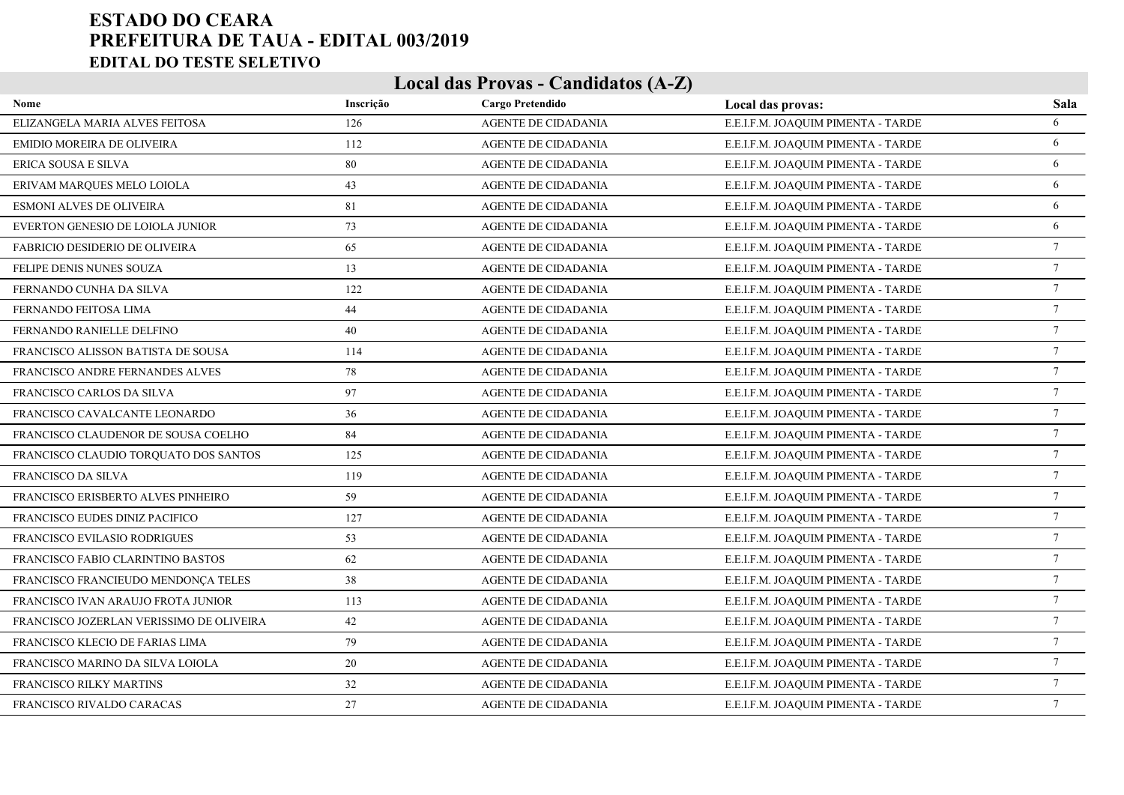| Nome                                     | Inscrição | Cargo Pretendido           | Local das provas:                  | Sala            |
|------------------------------------------|-----------|----------------------------|------------------------------------|-----------------|
| ELIZANGELA MARIA ALVES FEITOSA           | 126       | AGENTE DE CIDADANIA        | E.E.I.F.M. JOAQUIM PIMENTA - TARDE | 6               |
| EMIDIO MOREIRA DE OLIVEIRA               | 112       | AGENTE DE CIDADANIA        | E.E.I.F.M. JOAQUIM PIMENTA - TARDE | 6               |
| ERICA SOUSA E SILVA                      | 80        | AGENTE DE CIDADANIA        | E.E.I.F.M. JOAQUIM PIMENTA - TARDE | 6               |
| ERIVAM MARQUES MELO LOIOLA               | 43        | AGENTE DE CIDADANIA        | E.E.I.F.M. JOAQUIM PIMENTA - TARDE | 6               |
| <b>ESMONI ALVES DE OLIVEIRA</b>          | 81        | <b>AGENTE DE CIDADANIA</b> | E.E.I.F.M. JOAQUIM PIMENTA - TARDE | 6               |
| EVERTON GENESIO DE LOIOLA JUNIOR         | 73        | <b>AGENTE DE CIDADANIA</b> | E.E.I.F.M. JOAQUIM PIMENTA - TARDE | 6               |
| <b>FABRICIO DESIDERIO DE OLIVEIRA</b>    | 65        | <b>AGENTE DE CIDADANIA</b> | E.E.I.F.M. JOAQUIM PIMENTA - TARDE | $\tau$          |
| FELIPE DENIS NUNES SOUZA                 | 13        | <b>AGENTE DE CIDADANIA</b> | E.E.I.F.M. JOAQUIM PIMENTA - TARDE | 7               |
| FERNANDO CUNHA DA SILVA                  | 122       | <b>AGENTE DE CIDADANIA</b> | E.E.I.F.M. JOAQUIM PIMENTA - TARDE | $7\phantom{.0}$ |
| FERNANDO FEITOSA LIMA                    | 44        | <b>AGENTE DE CIDADANIA</b> | E.E.I.F.M. JOAQUIM PIMENTA - TARDE | $7\phantom{.0}$ |
| FERNANDO RANIELLE DELFINO                | 40        | <b>AGENTE DE CIDADANIA</b> | E.E.I.F.M. JOAQUIM PIMENTA - TARDE | $\tau$          |
| FRANCISCO ALISSON BATISTA DE SOUSA       | 114       | <b>AGENTE DE CIDADANIA</b> | E.E.I.F.M. JOAQUIM PIMENTA - TARDE | 7               |
| FRANCISCO ANDRE FERNANDES ALVES          | 78        | <b>AGENTE DE CIDADANIA</b> | E.E.I.F.M. JOAQUIM PIMENTA - TARDE | $7\phantom{.0}$ |
| FRANCISCO CARLOS DA SILVA                | 97        | <b>AGENTE DE CIDADANIA</b> | E.E.I.F.M. JOAQUIM PIMENTA - TARDE | $7\phantom{.0}$ |
| FRANCISCO CAVALCANTE LEONARDO            | 36        | <b>AGENTE DE CIDADANIA</b> | E.E.I.F.M. JOAQUIM PIMENTA - TARDE | $7\phantom{.0}$ |
| FRANCISCO CLAUDENOR DE SOUSA COELHO      | 84        | AGENTE DE CIDADANIA        | E.E.I.F.M. JOAQUIM PIMENTA - TARDE | $7\phantom{.0}$ |
| FRANCISCO CLAUDIO TORQUATO DOS SANTOS    | 125       | <b>AGENTE DE CIDADANIA</b> | E.E.I.F.M. JOAQUIM PIMENTA - TARDE | $\tau$          |
| FRANCISCO DA SILVA                       | 119       | AGENTE DE CIDADANIA        | E.E.I.F.M. JOAQUIM PIMENTA - TARDE | $7\phantom{.0}$ |
| FRANCISCO ERISBERTO ALVES PINHEIRO       | 59        | <b>AGENTE DE CIDADANIA</b> | E.E.I.F.M. JOAQUIM PIMENTA - TARDE | $\tau$          |
| FRANCISCO EUDES DINIZ PACIFICO           | 127       | AGENTE DE CIDADANIA        | E.E.I.F.M. JOAQUIM PIMENTA - TARDE | $7\phantom{.0}$ |
| FRANCISCO EVILASIO RODRIGUES             | 53        | <b>AGENTE DE CIDADANIA</b> | E.E.I.F.M. JOAQUIM PIMENTA - TARDE | $7\phantom{.0}$ |
| FRANCISCO FABIO CLARINTINO BASTOS        | 62        | AGENTE DE CIDADANIA        | E.E.I.F.M. JOAQUIM PIMENTA - TARDE | $\tau$          |
| FRANCISCO FRANCIEUDO MENDONCA TELES      | 38        | <b>AGENTE DE CIDADANIA</b> | E.E.I.F.M. JOAQUIM PIMENTA - TARDE | $\tau$          |
| FRANCISCO IVAN ARAUJO FROTA JUNIOR       | 113       | AGENTE DE CIDADANIA        | E.E.I.F.M. JOAQUIM PIMENTA - TARDE | $7\phantom{.0}$ |
| FRANCISCO JOZERLAN VERISSIMO DE OLIVEIRA | 42        | <b>AGENTE DE CIDADANIA</b> | E.E.I.F.M. JOAQUIM PIMENTA - TARDE | $7\phantom{.0}$ |
| FRANCISCO KLECIO DE FARIAS LIMA          | 79        | AGENTE DE CIDADANIA        | E.E.I.F.M. JOAQUIM PIMENTA - TARDE | $7\phantom{.0}$ |
| FRANCISCO MARINO DA SILVA LOIOLA         | 20        | <b>AGENTE DE CIDADANIA</b> | E.E.I.F.M. JOAQUIM PIMENTA - TARDE | $7\phantom{.0}$ |
| FRANCISCO RILKY MARTINS                  | 32        | AGENTE DE CIDADANIA        | E.E.I.F.M. JOAQUIM PIMENTA - TARDE | $\tau$          |
| FRANCISCO RIVALDO CARACAS                | 27        | <b>AGENTE DE CIDADANIA</b> | E.E.I.F.M. JOAQUIM PIMENTA - TARDE | $\tau$          |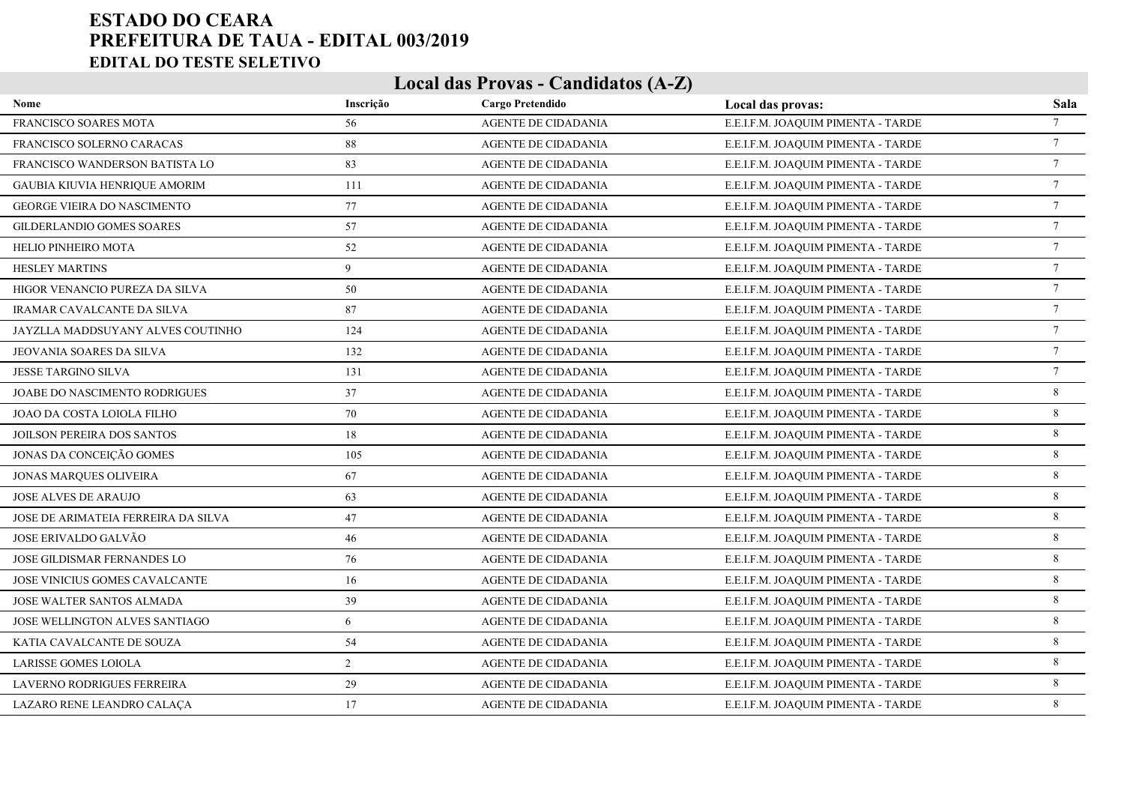| Nome                                  | Inscrição | Cargo Pretendido           | Local das provas:                  | Sala            |
|---------------------------------------|-----------|----------------------------|------------------------------------|-----------------|
| FRANCISCO SOARES MOTA                 | 56        | AGENTE DE CIDADANIA        | E.E.I.F.M. JOAQUIM PIMENTA - TARDE | $7\overline{ }$ |
| FRANCISCO SOLERNO CARACAS             | 88        | AGENTE DE CIDADANIA        | E.E.I.F.M. JOAQUIM PIMENTA - TARDE | $\tau$          |
| FRANCISCO WANDERSON BATISTA LO        | 83        | AGENTE DE CIDADANIA        | E.E.I.F.M. JOAQUIM PIMENTA - TARDE | $7\phantom{.0}$ |
| <b>GAUBIA KIUVIA HENRIQUE AMORIM</b>  | 111       | AGENTE DE CIDADANIA        | E.E.I.F.M. JOAQUIM PIMENTA - TARDE | $\overline{7}$  |
| GEORGE VIEIRA DO NASCIMENTO           | 77        | <b>AGENTE DE CIDADANIA</b> | E.E.I.F.M. JOAQUIM PIMENTA - TARDE | $\tau$          |
| <b>GILDERLANDIO GOMES SOARES</b>      | 57        | <b>AGENTE DE CIDADANIA</b> | E.E.I.F.M. JOAQUIM PIMENTA - TARDE | $\tau$          |
| HELIO PINHEIRO MOTA                   | 52        | <b>AGENTE DE CIDADANIA</b> | E.E.I.F.M. JOAQUIM PIMENTA - TARDE | $7\phantom{.0}$ |
| <b>HESLEY MARTINS</b>                 | 9         | <b>AGENTE DE CIDADANIA</b> | E.E.I.F.M. JOAQUIM PIMENTA - TARDE | $\overline{7}$  |
| HIGOR VENANCIO PUREZA DA SILVA        | 50        | <b>AGENTE DE CIDADANIA</b> | E.E.I.F.M. JOAQUIM PIMENTA - TARDE | $7\phantom{.0}$ |
| <b>IRAMAR CAVALCANTE DA SILVA</b>     | 87        | <b>AGENTE DE CIDADANIA</b> | E.E.I.F.M. JOAQUIM PIMENTA - TARDE | $7\overline{ }$ |
| JAYZLLA MADDSUYANY ALVES COUTINHO     | 124       | <b>AGENTE DE CIDADANIA</b> | E.E.I.F.M. JOAQUIM PIMENTA - TARDE | $7\phantom{.0}$ |
| JEOVANIA SOARES DA SILVA              | 132       | <b>AGENTE DE CIDADANIA</b> | E.E.I.F.M. JOAQUIM PIMENTA - TARDE | $\tau$          |
| JESSE TARGINO SILVA                   | 131       | <b>AGENTE DE CIDADANIA</b> | E.E.I.F.M. JOAQUIM PIMENTA - TARDE | $7\phantom{.0}$ |
| JOABE DO NASCIMENTO RODRIGUES         | 37        | <b>AGENTE DE CIDADANIA</b> | E.E.I.F.M. JOAQUIM PIMENTA - TARDE | 8               |
| JOAO DA COSTA LOIOLA FILHO            | 70        | <b>AGENTE DE CIDADANIA</b> | E.E.I.F.M. JOAQUIM PIMENTA - TARDE | 8               |
| JOILSON PEREIRA DOS SANTOS            | 18        | <b>AGENTE DE CIDADANIA</b> | E.E.I.F.M. JOAQUIM PIMENTA - TARDE | 8               |
| JONAS DA CONCEIÇÃO GOMES              | 105       | <b>AGENTE DE CIDADANIA</b> | E.E.I.F.M. JOAQUIM PIMENTA - TARDE | 8               |
| <b>JONAS MARQUES OLIVEIRA</b>         | 67        | <b>AGENTE DE CIDADANIA</b> | E.E.I.F.M. JOAQUIM PIMENTA - TARDE | 8               |
| <b>JOSE ALVES DE ARAUJO</b>           | 63        | <b>AGENTE DE CIDADANIA</b> | E.E.I.F.M. JOAQUIM PIMENTA - TARDE | 8               |
| JOSE DE ARIMATEIA FERREIRA DA SILVA   | 47        | <b>AGENTE DE CIDADANIA</b> | E.E.I.F.M. JOAQUIM PIMENTA - TARDE | 8               |
| JOSE ERIVALDO GALVÃO                  | 46        | <b>AGENTE DE CIDADANIA</b> | E.E.I.F.M. JOAQUIM PIMENTA - TARDE | 8               |
| JOSE GILDISMAR FERNANDES LO           | 76        | <b>AGENTE DE CIDADANIA</b> | E.E.I.F.M. JOAQUIM PIMENTA - TARDE | 8               |
| <b>JOSE VINICIUS GOMES CAVALCANTE</b> | 16        | <b>AGENTE DE CIDADANIA</b> | E.E.I.F.M. JOAQUIM PIMENTA - TARDE | 8               |
| JOSE WALTER SANTOS ALMADA             | 39        | <b>AGENTE DE CIDADANIA</b> | E.E.I.F.M. JOAQUIM PIMENTA - TARDE | 8               |
| <b>JOSE WELLINGTON ALVES SANTIAGO</b> | 6         | <b>AGENTE DE CIDADANIA</b> | E.E.I.F.M. JOAQUIM PIMENTA - TARDE | 8               |
| KATIA CAVALCANTE DE SOUZA             | 54        | AGENTE DE CIDADANIA        | E.E.I.F.M. JOAQUIM PIMENTA - TARDE | 8               |
| <b>LARISSE GOMES LOIOLA</b>           | 2         | <b>AGENTE DE CIDADANIA</b> | E.E.I.F.M. JOAQUIM PIMENTA - TARDE | 8               |
| LAVERNO RODRIGUES FERREIRA            | 29        | AGENTE DE CIDADANIA        | E.E.I.F.M. JOAQUIM PIMENTA - TARDE | 8               |
| LAZARO RENE LEANDRO CALAÇA            | 17        | <b>AGENTE DE CIDADANIA</b> | E.E.I.F.M. JOAQUIM PIMENTA - TARDE | 8               |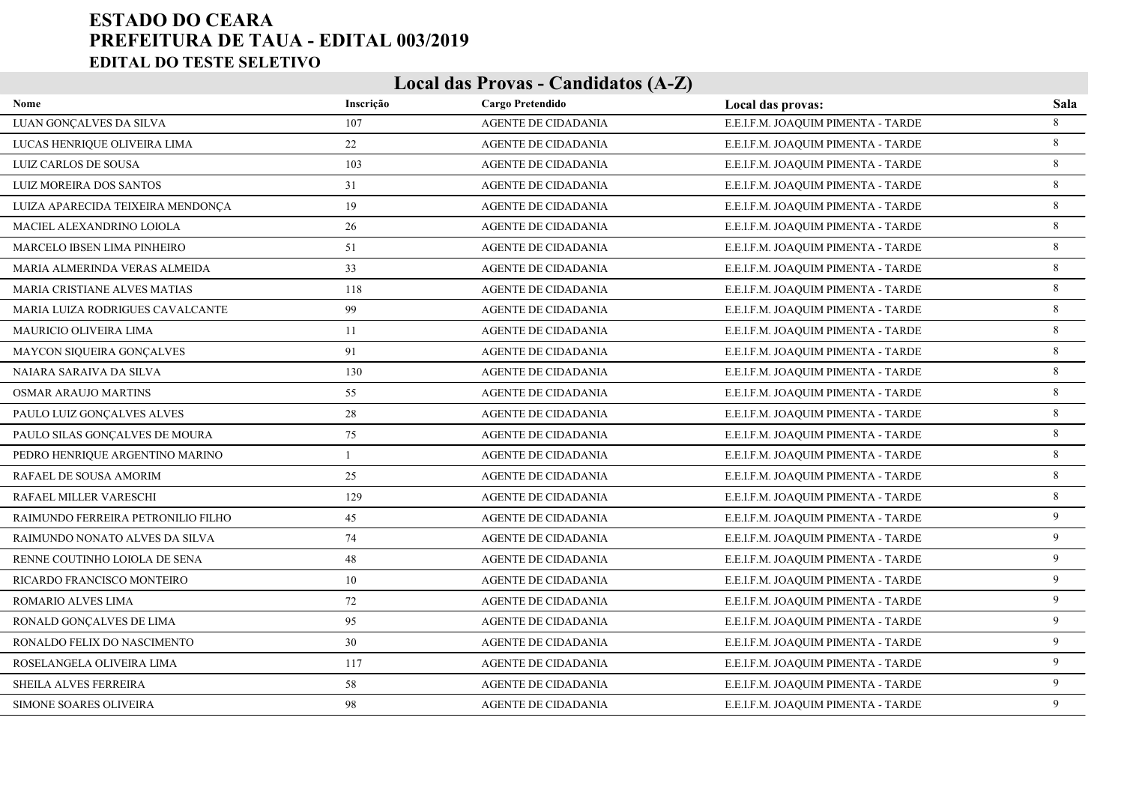| Nome                               | Inscrição | Cargo Pretendido           | Local das provas:                  | Sala    |
|------------------------------------|-----------|----------------------------|------------------------------------|---------|
| LUAN GONÇALVES DA SILVA            | 107       | AGENTE DE CIDADANIA        | E.E.I.F.M. JOAQUIM PIMENTA - TARDE | 8       |
| LUCAS HENRIQUE OLIVEIRA LIMA       | 22        | AGENTE DE CIDADANIA        | E.E.I.F.M. JOAQUIM PIMENTA - TARDE | 8       |
| LUIZ CARLOS DE SOUSA               | 103       | <b>AGENTE DE CIDADANIA</b> | E.E.I.F.M. JOAQUIM PIMENTA - TARDE | 8       |
| LUIZ MOREIRA DOS SANTOS            | 31        | AGENTE DE CIDADANIA        | E.E.I.F.M. JOAQUIM PIMENTA - TARDE | 8       |
| LUIZA APARECIDA TEIXEIRA MENDONÇA  | 19        | <b>AGENTE DE CIDADANIA</b> | E.E.I.F.M. JOAQUIM PIMENTA - TARDE | 8       |
| MACIEL ALEXANDRINO LOIOLA          | 26        | AGENTE DE CIDADANIA        | E.E.I.F.M. JOAQUIM PIMENTA - TARDE | 8       |
| MARCELO IBSEN LIMA PINHEIRO        | 51        | <b>AGENTE DE CIDADANIA</b> | E.E.I.F.M. JOAQUIM PIMENTA - TARDE | 8       |
| MARIA ALMERINDA VERAS ALMEIDA      | 33        | AGENTE DE CIDADANIA        | E.E.I.F.M. JOAQUIM PIMENTA - TARDE | 8       |
| MARIA CRISTIANE ALVES MATIAS       | 118       | <b>AGENTE DE CIDADANIA</b> | E.E.I.F.M. JOAQUIM PIMENTA - TARDE | 8       |
| MARIA LUIZA RODRIGUES CAVALCANTE   | 99        | AGENTE DE CIDADANIA        | E.E.I.F.M. JOAQUIM PIMENTA - TARDE | 8       |
| MAURICIO OLIVEIRA LIMA             | 11        | <b>AGENTE DE CIDADANIA</b> | E.E.I.F.M. JOAQUIM PIMENTA - TARDE | 8       |
| MAYCON SIQUEIRA GONÇALVES          | 91        | AGENTE DE CIDADANIA        | E.E.I.F.M. JOAQUIM PIMENTA - TARDE | 8       |
| NAIARA SARAIVA DA SILVA            | 130       | <b>AGENTE DE CIDADANIA</b> | E.E.I.F.M. JOAQUIM PIMENTA - TARDE | 8       |
| <b>OSMAR ARAUJO MARTINS</b>        | 55        | AGENTE DE CIDADANIA        | E.E.I.F.M. JOAQUIM PIMENTA - TARDE | 8       |
| PAULO LUIZ GONÇALVES ALVES         | 28        | <b>AGENTE DE CIDADANIA</b> | E.E.I.F.M. JOAQUIM PIMENTA - TARDE | 8       |
| PAULO SILAS GONÇALVES DE MOURA     | 75        | AGENTE DE CIDADANIA        | E.E.I.F.M. JOAQUIM PIMENTA - TARDE | 8       |
| PEDRO HENRIQUE ARGENTINO MARINO    |           | <b>AGENTE DE CIDADANIA</b> | E.E.I.F.M. JOAQUIM PIMENTA - TARDE | 8       |
| RAFAEL DE SOUSA AMORIM             | 25        | AGENTE DE CIDADANIA        | E.E.I.F.M. JOAQUIM PIMENTA - TARDE | $\,8\,$ |
| RAFAEL MILLER VARESCHI             | 129       | <b>AGENTE DE CIDADANIA</b> | E.E.I.F.M. JOAQUIM PIMENTA - TARDE | 8       |
| RAIMUNDO FERREIRA PETRONILIO FILHO | 45        | AGENTE DE CIDADANIA        | E.E.I.F.M. JOAQUIM PIMENTA - TARDE | 9       |
| RAIMUNDO NONATO ALVES DA SILVA     | 74        | <b>AGENTE DE CIDADANIA</b> | E.E.I.F.M. JOAQUIM PIMENTA - TARDE | 9       |
| RENNE COUTINHO LOIOLA DE SENA      | 48        | AGENTE DE CIDADANIA        | E.E.I.F.M. JOAQUIM PIMENTA - TARDE | 9       |
| RICARDO FRANCISCO MONTEIRO         | 10        | <b>AGENTE DE CIDADANIA</b> | E.E.I.F.M. JOAQUIM PIMENTA - TARDE | 9       |
| ROMARIO ALVES LIMA                 | 72        | AGENTE DE CIDADANIA        | E.E.I.F.M. JOAQUIM PIMENTA - TARDE | 9       |
| RONALD GONCALVES DE LIMA           | 95        | <b>AGENTE DE CIDADANIA</b> | E.E.I.F.M. JOAQUIM PIMENTA - TARDE | 9       |
| RONALDO FELIX DO NASCIMENTO        | 30        | AGENTE DE CIDADANIA        | E.E.I.F.M. JOAQUIM PIMENTA - TARDE | 9       |
| ROSELANGELA OLIVEIRA LIMA          | 117       | <b>AGENTE DE CIDADANIA</b> | E.E.I.F.M. JOAQUIM PIMENTA - TARDE | 9       |
| SHEILA ALVES FERREIRA              | 58        | AGENTE DE CIDADANIA        | E.E.I.F.M. JOAQUIM PIMENTA - TARDE | 9       |
| SIMONE SOARES OLIVEIRA             | 98        | <b>AGENTE DE CIDADANIA</b> | E.E.I.F.M. JOAQUIM PIMENTA - TARDE | 9       |